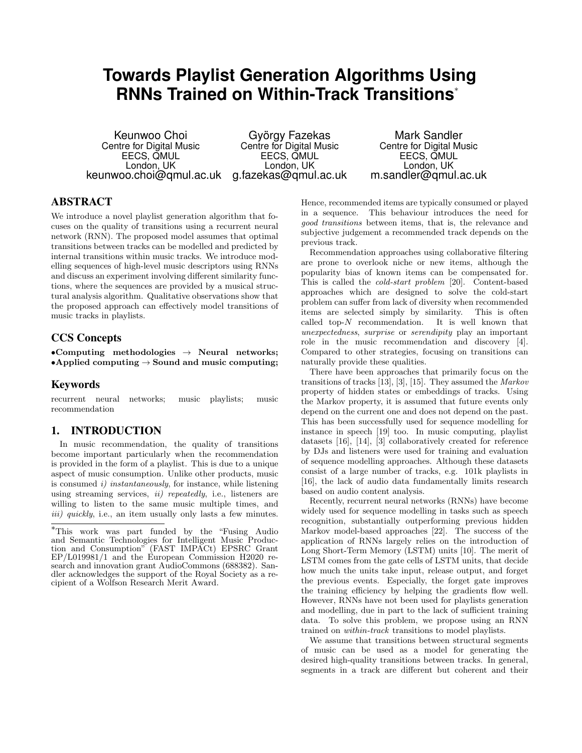# **Towards Playlist Generation Algorithms Using RNNs Trained on Within-Track Transitions**<sup>∗</sup>

Keunwoo Choi Centre for Digital Music EECS, QMUL London, UK keunwoo.choi@qmul.ac.uk

György Fazekas Centre for Digital Music EECS, QMUL London, UK g.fazekas@qmul.ac.uk

Mark Sandler Centre for Digital Music EECS, QMUL London, UK m.sandler@qmul.ac.uk

# ABSTRACT

We introduce a novel playlist generation algorithm that focuses on the quality of transitions using a recurrent neural network (RNN). The proposed model assumes that optimal transitions between tracks can be modelled and predicted by internal transitions within music tracks. We introduce modelling sequences of high-level music descriptors using RNNs and discuss an experiment involving different similarity functions, where the sequences are provided by a musical structural analysis algorithm. Qualitative observations show that the proposed approach can effectively model transitions of music tracks in playlists.

# CCS Concepts

•Computing methodologies  $\rightarrow$  Neural networks; •Applied computing  $\rightarrow$  Sound and music computing;

## Keywords

recurrent neural networks; music playlists; music recommendation

## 1. INTRODUCTION

In music recommendation, the quality of transitions become important particularly when the recommendation is provided in the form of a playlist. This is due to a unique aspect of music consumption. Unlike other products, music is consumed i) instantaneously, for instance, while listening using streaming services,  $ii)$  repeatedly, i.e., listeners are willing to listen to the same music multiple times, and iii) quickly, i.e., an item usually only lasts a few minutes.

Hence, recommended items are typically consumed or played in a sequence. This behaviour introduces the need for good transitions between items, that is, the relevance and subjective judgement a recommended track depends on the previous track.

Recommendation approaches using collaborative filtering are prone to overlook niche or new items, although the popularity bias of known items can be compensated for. This is called the cold-start problem [20]. Content-based approaches which are designed to solve the cold-start problem can suffer from lack of diversity when recommended items are selected simply by similarity. This is often called top- $N$  recommendation. It is well known that unexpectedness, surprise or serendipity play an important role in the music recommendation and discovery [4]. Compared to other strategies, focusing on transitions can naturally provide these qualities.

There have been approaches that primarily focus on the transitions of tracks [13], [3], [15]. They assumed the Markov property of hidden states or embeddings of tracks. Using the Markov property, it is assumed that future events only depend on the current one and does not depend on the past. This has been successfully used for sequence modelling for instance in speech [19] too. In music computing, playlist datasets [16], [14], [3] collaboratively created for reference by DJs and listeners were used for training and evaluation of sequence modelling approaches. Although these datasets consist of a large number of tracks, e.g. 101k playlists in [16], the lack of audio data fundamentally limits research based on audio content analysis.

Recently, recurrent neural networks (RNNs) have become widely used for sequence modelling in tasks such as speech recognition, substantially outperforming previous hidden Markov model-based approaches [22]. The success of the application of RNNs largely relies on the introduction of Long Short-Term Memory (LSTM) units [10]. The merit of LSTM comes from the gate cells of LSTM units, that decide how much the units take input, release output, and forget the previous events. Especially, the forget gate improves the training efficiency by helping the gradients flow well. However, RNNs have not been used for playlists generation and modelling, due in part to the lack of sufficient training data. To solve this problem, we propose using an RNN trained on within-track transitions to model playlists.

We assume that transitions between structural segments of music can be used as a model for generating the desired high-quality transitions between tracks. In general, segments in a track are different but coherent and their

<sup>∗</sup>This work was part funded by the "Fusing Audio and Semantic Technologies for Intelligent Music Production and Consumption" (FAST IMPACt) EPSRC Grant EP/L019981/1 and the European Commission H2020 research and innovation grant AudioCommons (688382). Sandler acknowledges the support of the Royal Society as a recipient of a Wolfson Research Merit Award.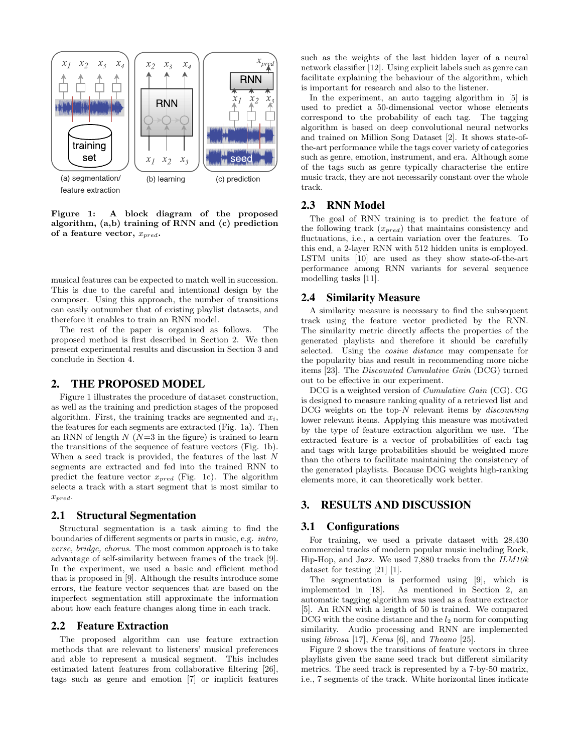

Figure 1: A block diagram of the proposed algorithm, (a,b) training of RNN and (c) prediction of a feature vector,  $x_{pred}$ .

musical features can be expected to match well in succession. This is due to the careful and intentional design by the composer. Using this approach, the number of transitions can easily outnumber that of existing playlist datasets, and therefore it enables to train an RNN model.

The rest of the paper is organised as follows. The proposed method is first described in Section 2. We then present experimental results and discussion in Section 3 and conclude in Section 4.

#### 2. THE PROPOSED MODEL

Figure 1 illustrates the procedure of dataset construction, as well as the training and prediction stages of the proposed algorithm. First, the training tracks are segmented and  $x_i$ , the features for each segments are extracted (Fig. 1a). Then an RNN of length  $N(N=3$  in the figure) is trained to learn the transitions of the sequence of feature vectors (Fig. 1b). When a seed track is provided, the features of the last N segments are extracted and fed into the trained RNN to predict the feature vector  $x_{pred}$  (Fig. 1c). The algorithm selects a track with a start segment that is most similar to  $x_{pred}$ .

#### 2.1 Structural Segmentation

Structural segmentation is a task aiming to find the boundaries of different segments or parts in music, e.g. intro, verse, bridge, chorus. The most common approach is to take advantage of self-similarity between frames of the track [9]. In the experiment, we used a basic and efficient method that is proposed in [9]. Although the results introduce some errors, the feature vector sequences that are based on the imperfect segmentation still approximate the information about how each feature changes along time in each track.

#### 2.2 Feature Extraction

The proposed algorithm can use feature extraction methods that are relevant to listeners' musical preferences and able to represent a musical segment. This includes estimated latent features from collaborative filtering [26], tags such as genre and emotion [7] or implicit features such as the weights of the last hidden layer of a neural network classifier [12]. Using explicit labels such as genre can facilitate explaining the behaviour of the algorithm, which is important for research and also to the listener.

In the experiment, an auto tagging algorithm in [5] is used to predict a 50-dimensional vector whose elements correspond to the probability of each tag. The tagging algorithm is based on deep convolutional neural networks and trained on Million Song Dataset [2]. It shows state-ofthe-art performance while the tags cover variety of categories such as genre, emotion, instrument, and era. Although some of the tags such as genre typically characterise the entire music track, they are not necessarily constant over the whole track.

#### 2.3 RNN Model

The goal of RNN training is to predict the feature of the following track  $(x_{pred})$  that maintains consistency and fluctuations, i.e., a certain variation over the features. To this end, a 2-layer RNN with 512 hidden units is employed. LSTM units [10] are used as they show state-of-the-art performance among RNN variants for several sequence modelling tasks [11].

#### 2.4 Similarity Measure

A similarity measure is necessary to find the subsequent track using the feature vector predicted by the RNN. The similarity metric directly affects the properties of the generated playlists and therefore it should be carefully selected. Using the cosine distance may compensate for the popularity bias and result in recommending more niche items [23]. The Discounted Cumulative Gain (DCG) turned out to be effective in our experiment.

DCG is a weighted version of Cumulative Gain (CG). CG is designed to measure ranking quality of a retrieved list and  $DCG$  weights on the top- $N$  relevant items by  $discounting$ lower relevant items. Applying this measure was motivated by the type of feature extraction algorithm we use. The extracted feature is a vector of probabilities of each tag and tags with large probabilities should be weighted more than the others to facilitate maintaining the consistency of the generated playlists. Because DCG weights high-ranking elements more, it can theoretically work better.

# 3. RESULTS AND DISCUSSION

#### 3.1 Configurations

For training, we used a private dataset with 28,430 commercial tracks of modern popular music including Rock, Hip-Hop, and Jazz. We used 7,880 tracks from the ILM10k dataset for testing [21] [1].

The segmentation is performed using [9], which is implemented in [18]. As mentioned in Section 2, an automatic tagging algorithm was used as a feature extractor [5]. An RNN with a length of 50 is trained. We compared DCG with the cosine distance and the  $l_2$  norm for computing similarity. Audio processing and RNN are implemented using librosa [17], Keras [6], and Theano [25].

Figure 2 shows the transitions of feature vectors in three playlists given the same seed track but different similarity metrics. The seed track is represented by a 7-by-50 matrix, i.e., 7 segments of the track. White horizontal lines indicate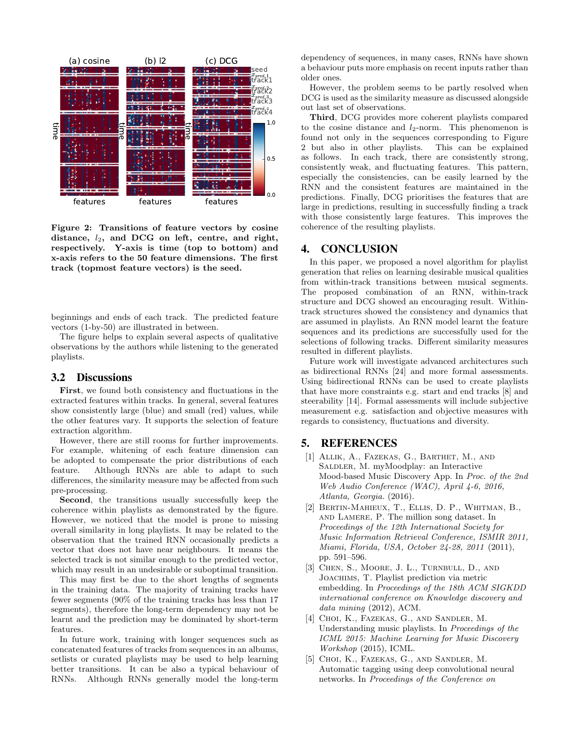

Figure 2: Transitions of feature vectors by cosine distance,  $l_2$ , and DCG on left, centre, and right, respectively. Y-axis is time (top to bottom) and x-axis refers to the 50 feature dimensions. The first track (topmost feature vectors) is the seed.

beginnings and ends of each track. The predicted feature vectors (1-by-50) are illustrated in between.

The figure helps to explain several aspects of qualitative observations by the authors while listening to the generated playlists.

#### 3.2 Discussions

First, we found both consistency and fluctuations in the extracted features within tracks. In general, several features show consistently large (blue) and small (red) values, while the other features vary. It supports the selection of feature extraction algorithm.

However, there are still rooms for further improvements. For example, whitening of each feature dimension can be adopted to compensate the prior distributions of each feature. Although RNNs are able to adapt to such differences, the similarity measure may be affected from such pre-processing.

Second, the transitions usually successfully keep the coherence within playlists as demonstrated by the figure. However, we noticed that the model is prone to missing overall similarity in long playlists. It may be related to the observation that the trained RNN occasionally predicts a vector that does not have near neighbours. It means the selected track is not similar enough to the predicted vector, which may result in an undesirable or suboptimal transition.

This may first be due to the short lengths of segments in the training data. The majority of training tracks have fewer segments (90% of the training tracks has less than 17 segments), therefore the long-term dependency may not be learnt and the prediction may be dominated by short-term features.

In future work, training with longer sequences such as concatenated features of tracks from sequences in an albums, setlists or curated playlists may be used to help learning better transitions. It can be also a typical behaviour of RNNs. Although RNNs generally model the long-term

dependency of sequences, in many cases, RNNs have shown a behaviour puts more emphasis on recent inputs rather than older ones.

However, the problem seems to be partly resolved when DCG is used as the similarity measure as discussed alongside out last set of observations.

Third, DCG provides more coherent playlists compared to the cosine distance and  $l_2$ -norm. This phenomenon is found not only in the sequences corresponding to Figure 2 but also in other playlists. This can be explained as follows. In each track, there are consistently strong, consistently weak, and fluctuating features. This pattern, especially the consistencies, can be easily learned by the RNN and the consistent features are maintained in the predictions. Finally, DCG prioritises the features that are large in predictions, resulting in successfully finding a track with those consistently large features. This improves the coherence of the resulting playlists.

#### 4. CONCLUSION

In this paper, we proposed a novel algorithm for playlist generation that relies on learning desirable musical qualities from within-track transitions between musical segments. The proposed combination of an RNN, within-track structure and DCG showed an encouraging result. Withintrack structures showed the consistency and dynamics that are assumed in playlists. An RNN model learnt the feature sequences and its predictions are successfully used for the selections of following tracks. Different similarity measures resulted in different playlists.

Future work will investigate advanced architectures such as bidirectional RNNs [24] and more formal assessments. Using bidirectional RNNs can be used to create playlists that have more constraints e.g. start and end tracks [8] and steerability [14]. Formal assessments will include subjective measurement e.g. satisfaction and objective measures with regards to consistency, fluctuations and diversity.

### 5. REFERENCES

- [1] Allik, A., Fazekas, G., Barthet, M., and SALDLER, M. myMoodplay: an Interactive Mood-based Music Discovery App. In Proc. of the 2nd Web Audio Conference (WAC), April 4-6, 2016, Atlanta, Georgia. (2016).
- [2] Bertin-Mahieux, T., Ellis, D. P., Whitman, B., and Lamere, P. The million song dataset. In Proceedings of the 12th International Society for Music Information Retrieval Conference, ISMIR 2011, Miami, Florida, USA, October 24-28, 2011 (2011), pp. 591–596.
- [3] CHEN, S., MOORE, J. L., TURNBULL, D., AND Joachims, T. Playlist prediction via metric embedding. In Proceedings of the 18th ACM SIGKDD international conference on Knowledge discovery and data mining (2012), ACM.
- [4] CHOI, K., FAZEKAS, G., AND SANDLER, M. Understanding music playlists. In Proceedings of the ICML 2015: Machine Learning for Music Discovery Workshop (2015), ICML.
- [5] Choi, K., Fazekas, G., and Sandler, M. Automatic tagging using deep convolutional neural networks. In Proceedings of the Conference on